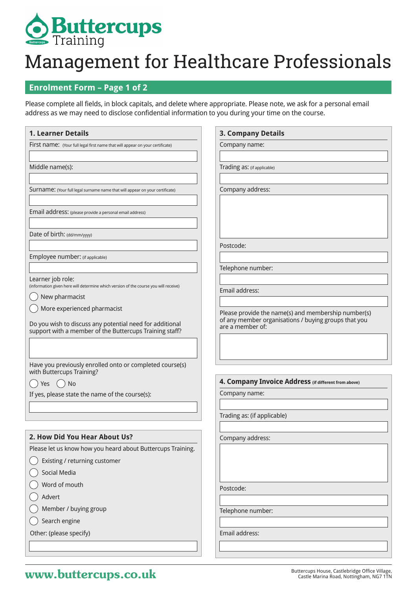

# Management for Healthcare Professionals

### **Enrolment Form – Page 1 of 2**

Please complete all fields, in block capitals, and delete where appropriate. Please note, we ask for a personal email address as we may need to disclose confidential information to you during your time on the course.

| <b>1. Learner Details</b>                                                                              | <b>3. Company Details</b>                                                                                                       |
|--------------------------------------------------------------------------------------------------------|---------------------------------------------------------------------------------------------------------------------------------|
| First name: (Your full legal first name that will appear on your certificate)                          | Company name:                                                                                                                   |
|                                                                                                        |                                                                                                                                 |
| Middle name(s):                                                                                        | Trading as: (if applicable)                                                                                                     |
| Surname: (Your full legal surname name that will appear on your certificate)                           | Company address:                                                                                                                |
| Email address: (please provide a personal email address)                                               |                                                                                                                                 |
| Date of birth: (dd/mm/yyyy)                                                                            |                                                                                                                                 |
|                                                                                                        | Postcode:                                                                                                                       |
| Employee number: (if applicable)                                                                       |                                                                                                                                 |
| Learner job role:                                                                                      | Telephone number:                                                                                                               |
| (information given here will determine which version of the course you will receive)<br>New pharmacist | Email address:                                                                                                                  |
| More experienced pharmacist<br>Do you wish to discuss any potential need for additional                | Please provide the name(s) and membership number(s)<br>of any member organisations / buying groups that you<br>are a member of: |
|                                                                                                        |                                                                                                                                 |
| Have you previously enrolled onto or completed course(s)<br>with Buttercups Training?                  |                                                                                                                                 |
| Yes<br>$()$ No<br>$\left( \quad \right)$                                                               | 4. Company Invoice Address (if different from above)                                                                            |
| If yes, please state the name of the course(s):                                                        | Company name:                                                                                                                   |
|                                                                                                        | Trading as: (if applicable)                                                                                                     |
|                                                                                                        |                                                                                                                                 |
| 2. How Did You Hear About Us?                                                                          | Company address:                                                                                                                |
| Please let us know how you heard about Buttercups Training.                                            |                                                                                                                                 |
| Existing / returning customer                                                                          |                                                                                                                                 |
| Social Media                                                                                           |                                                                                                                                 |
| Word of mouth                                                                                          | Postcode:                                                                                                                       |
| Advert<br>Member / buying group                                                                        |                                                                                                                                 |
| Search engine                                                                                          | Telephone number:                                                                                                               |
| Other: (please specify)                                                                                | Email address:                                                                                                                  |
|                                                                                                        |                                                                                                                                 |

## **WWW.buttercups.co.uk** Buttercups House, Castlebridge Office Village, **WWW.butterCupS.co.uk** Castle Marina Road, Nottingham, NG7 1TN